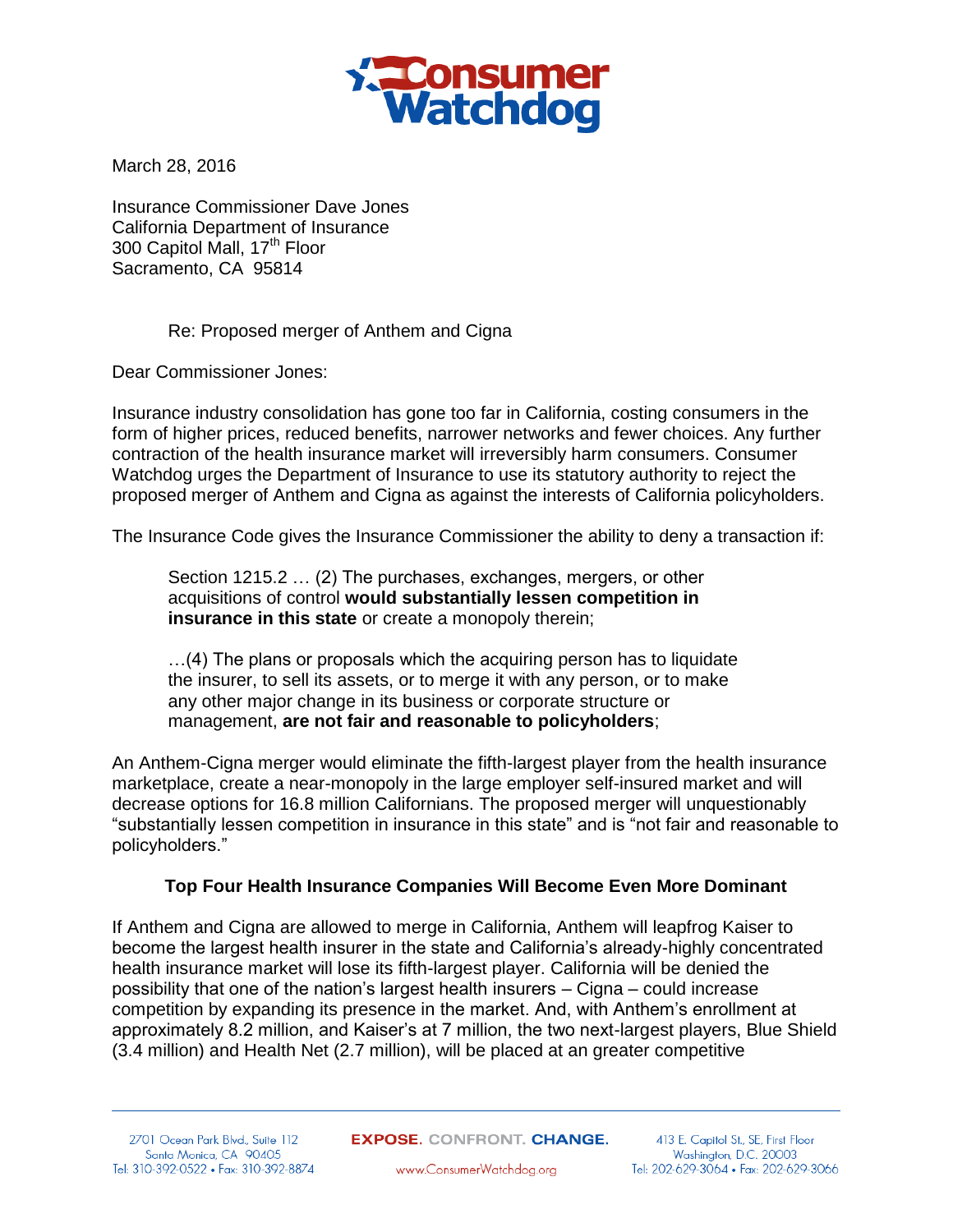

March 28, 2016

Insurance Commissioner Dave Jones California Department of Insurance 300 Capitol Mall, 17<sup>th</sup> Floor Sacramento, CA 95814

## Re: Proposed merger of Anthem and Cigna

Dear Commissioner Jones:

Insurance industry consolidation has gone too far in California, costing consumers in the form of higher prices, reduced benefits, narrower networks and fewer choices. Any further contraction of the health insurance market will irreversibly harm consumers. Consumer Watchdog urges the Department of Insurance to use its statutory authority to reject the proposed merger of Anthem and Cigna as against the interests of California policyholders.

The Insurance Code gives the Insurance Commissioner the ability to deny a transaction if:

Section 1215.2 … (2) The purchases, exchanges, mergers, or other acquisitions of control **would substantially lessen competition in insurance in this state** or create a monopoly therein;

…(4) The plans or proposals which the acquiring person has to liquidate the insurer, to sell its assets, or to merge it with any person, or to make any other major change in its business or corporate structure or management, **are not fair and reasonable to policyholders**;

An Anthem-Cigna merger would eliminate the fifth-largest player from the health insurance marketplace, create a near-monopoly in the large employer self-insured market and will decrease options for 16.8 million Californians. The proposed merger will unquestionably "substantially lessen competition in insurance in this state" and is "not fair and reasonable to policyholders."

# **Top Four Health Insurance Companies Will Become Even More Dominant**

If Anthem and Cigna are allowed to merge in California, Anthem will leapfrog Kaiser to become the largest health insurer in the state and California's already-highly concentrated health insurance market will lose its fifth-largest player. California will be denied the possibility that one of the nation's largest health insurers – Cigna – could increase competition by expanding its presence in the market. And, with Anthem's enrollment at approximately 8.2 million, and Kaiser's at 7 million, the two next-largest players, Blue Shield (3.4 million) and Health Net (2.7 million), will be placed at an greater competitive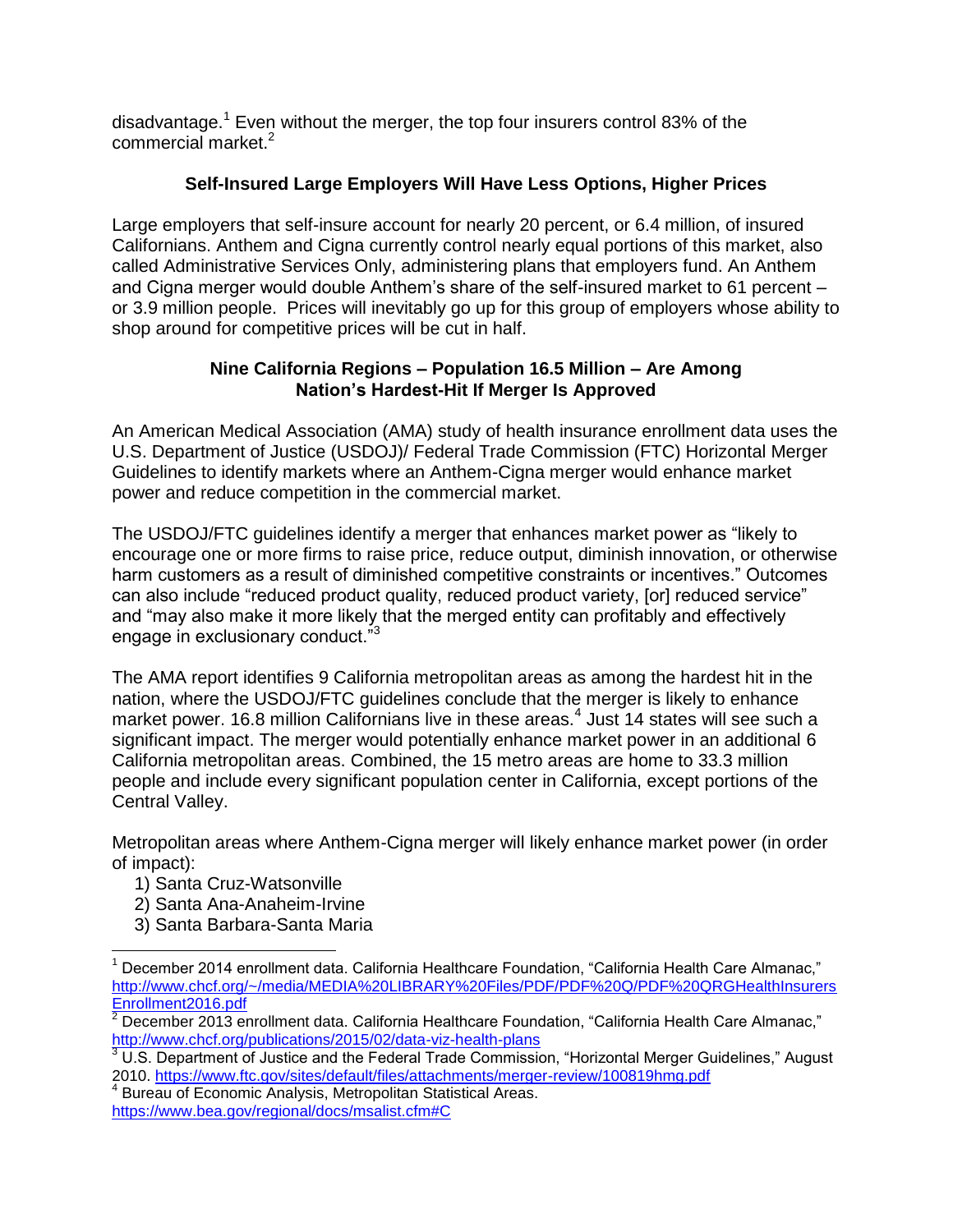disadvantage.<sup>1</sup> Even without the merger, the top four insurers control 83% of the commercial market. $2$ 

# **Self-Insured Large Employers Will Have Less Options, Higher Prices**

Large employers that self-insure account for nearly 20 percent, or 6.4 million, of insured Californians. Anthem and Cigna currently control nearly equal portions of this market, also called Administrative Services Only, administering plans that employers fund. An Anthem and Cigna merger would double Anthem's share of the self-insured market to 61 percent – or 3.9 million people. Prices will inevitably go up for this group of employers whose ability to shop around for competitive prices will be cut in half.

# **Nine California Regions – Population 16.5 Million – Are Among Nation's Hardest-Hit If Merger Is Approved**

An American Medical Association (AMA) study of health insurance enrollment data uses the U.S. Department of Justice (USDOJ)/ Federal Trade Commission (FTC) Horizontal Merger Guidelines to identify markets where an Anthem-Cigna merger would enhance market power and reduce competition in the commercial market.

The USDOJ/FTC guidelines identify a merger that enhances market power as "likely to encourage one or more firms to raise price, reduce output, diminish innovation, or otherwise harm customers as a result of diminished competitive constraints or incentives." Outcomes can also include "reduced product quality, reduced product variety, [or] reduced service" and "may also make it more likely that the merged entity can profitably and effectively engage in exclusionary conduct."<sup>3</sup>

The AMA report identifies 9 California metropolitan areas as among the hardest hit in the nation, where the USDOJ/FTC guidelines conclude that the merger is likely to enhance market power. 16.8 million Californians live in these areas.<sup>4</sup> Just 14 states will see such a significant impact. The merger would potentially enhance market power in an additional 6 California metropolitan areas. Combined, the 15 metro areas are home to 33.3 million people and include every significant population center in California, except portions of the Central Valley.

Metropolitan areas where Anthem-Cigna merger will likely enhance market power (in order of impact):

1) Santa Cruz-Watsonville

 $\overline{a}$ 

- 2) Santa Ana-Anaheim-Irvine
- 3) Santa Barbara-Santa Maria

<https://www.bea.gov/regional/docs/msalist.cfm#C>

<sup>1</sup> December 2014 enrollment data. California Healthcare Foundation, "California Health Care Almanac," [http://www.chcf.org/~/media/MEDIA%20LIBRARY%20Files/PDF/PDF%20Q/PDF%20QRGHealthInsurers](http://www.chcf.org/~/media/MEDIA%20LIBRARY%20Files/PDF/PDF%20Q/PDF%20QRGHealthInsurersEnrollment2016.pdf) [Enrollment2016.pdf](http://www.chcf.org/~/media/MEDIA%20LIBRARY%20Files/PDF/PDF%20Q/PDF%20QRGHealthInsurersEnrollment2016.pdf)

 $2$  December 2013 enrollment data. California Healthcare Foundation, "California Health Care Almanac," <http://www.chcf.org/publications/2015/02/data-viz-health-plans>

 $3$  U.S. Department of Justice and the Federal Trade Commission, "Horizontal Merger Guidelines," August 2010. <u>https://www.ftc.gov/sites/default/files/attachments/merger-review/100819hmg.pdf</u><br><sup>4</sup> Bureau of Economic Analysis, Metropolitan Statistical Areas.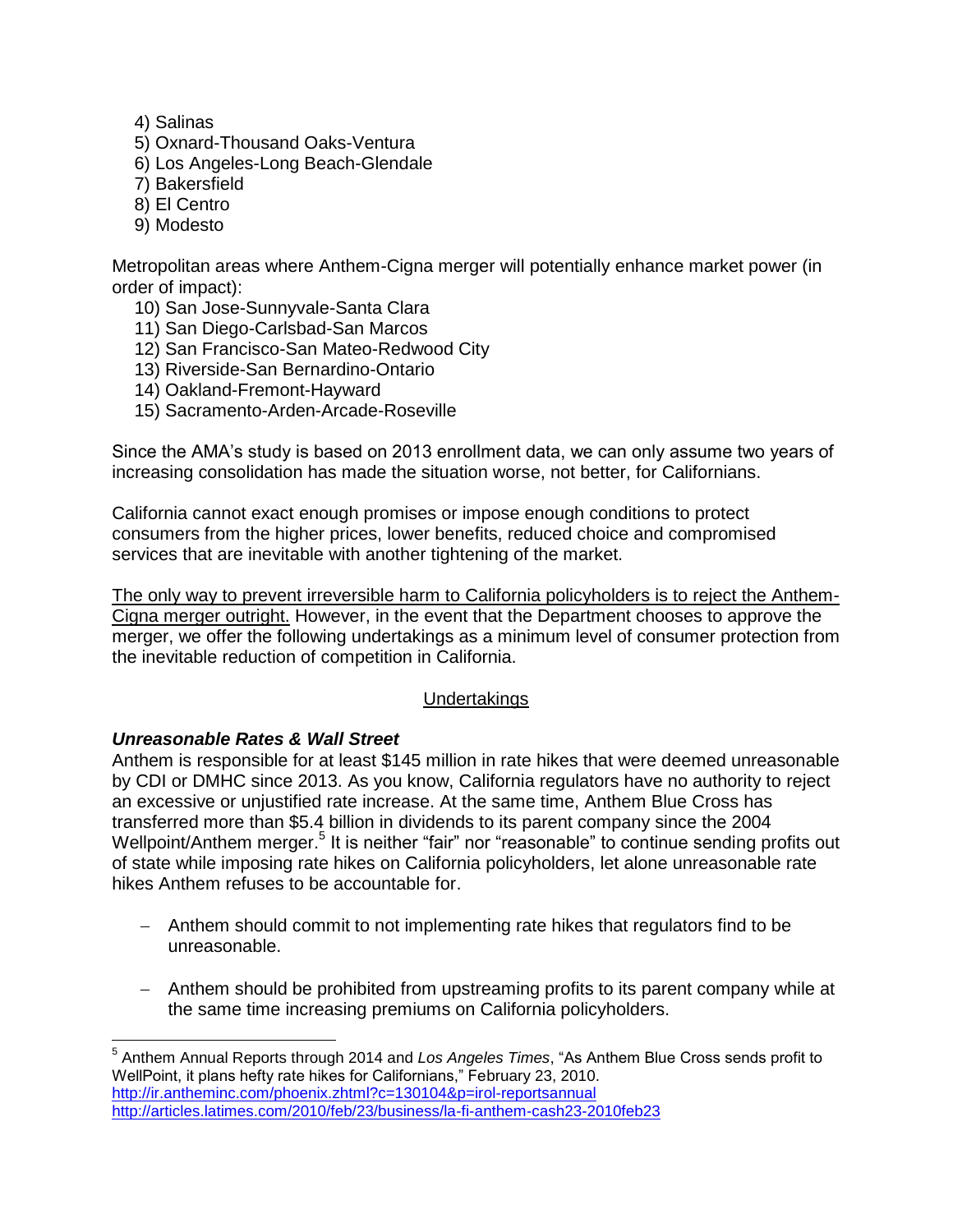- 4) Salinas
- 5) Oxnard-Thousand Oaks-Ventura
- 6) Los Angeles-Long Beach-Glendale
- 7) Bakersfield
- 8) El Centro
- 9) Modesto

Metropolitan areas where Anthem-Cigna merger will potentially enhance market power (in order of impact):

- 10) San Jose-Sunnyvale-Santa Clara
- 11) San Diego-Carlsbad-San Marcos
- 12) San Francisco-San Mateo-Redwood City
- 13) Riverside-San Bernardino-Ontario
- 14) Oakland-Fremont-Hayward
- 15) Sacramento-Arden-Arcade-Roseville

Since the AMA's study is based on 2013 enrollment data, we can only assume two years of increasing consolidation has made the situation worse, not better, for Californians.

California cannot exact enough promises or impose enough conditions to protect consumers from the higher prices, lower benefits, reduced choice and compromised services that are inevitable with another tightening of the market.

The only way to prevent irreversible harm to California policyholders is to reject the Anthem-Cigna merger outright. However, in the event that the Department chooses to approve the merger, we offer the following undertakings as a minimum level of consumer protection from the inevitable reduction of competition in California.

#### Undertakings

#### *Unreasonable Rates & Wall Street*

Anthem is responsible for at least \$145 million in rate hikes that were deemed unreasonable by CDI or DMHC since 2013. As you know, California regulators have no authority to reject an excessive or unjustified rate increase. At the same time, Anthem Blue Cross has transferred more than \$5.4 billion in dividends to its parent company since the 2004 Wellpoint/Anthem merger.<sup>5</sup> It is neither "fair" nor "reasonable" to continue sending profits out of state while imposing rate hikes on California policyholders, let alone unreasonable rate hikes Anthem refuses to be accountable for.

- Anthem should commit to not implementing rate hikes that regulators find to be unreasonable.
- Anthem should be prohibited from upstreaming profits to its parent company while at the same time increasing premiums on California policyholders.

 5 Anthem Annual Reports through 2014 and *Los Angeles Times*, "As Anthem Blue Cross sends profit to WellPoint, it plans hefty rate hikes for Californians," February 23, 2010. <http://ir.antheminc.com/phoenix.zhtml?c=130104&p=irol-reportsannual> <http://articles.latimes.com/2010/feb/23/business/la-fi-anthem-cash23-2010feb23>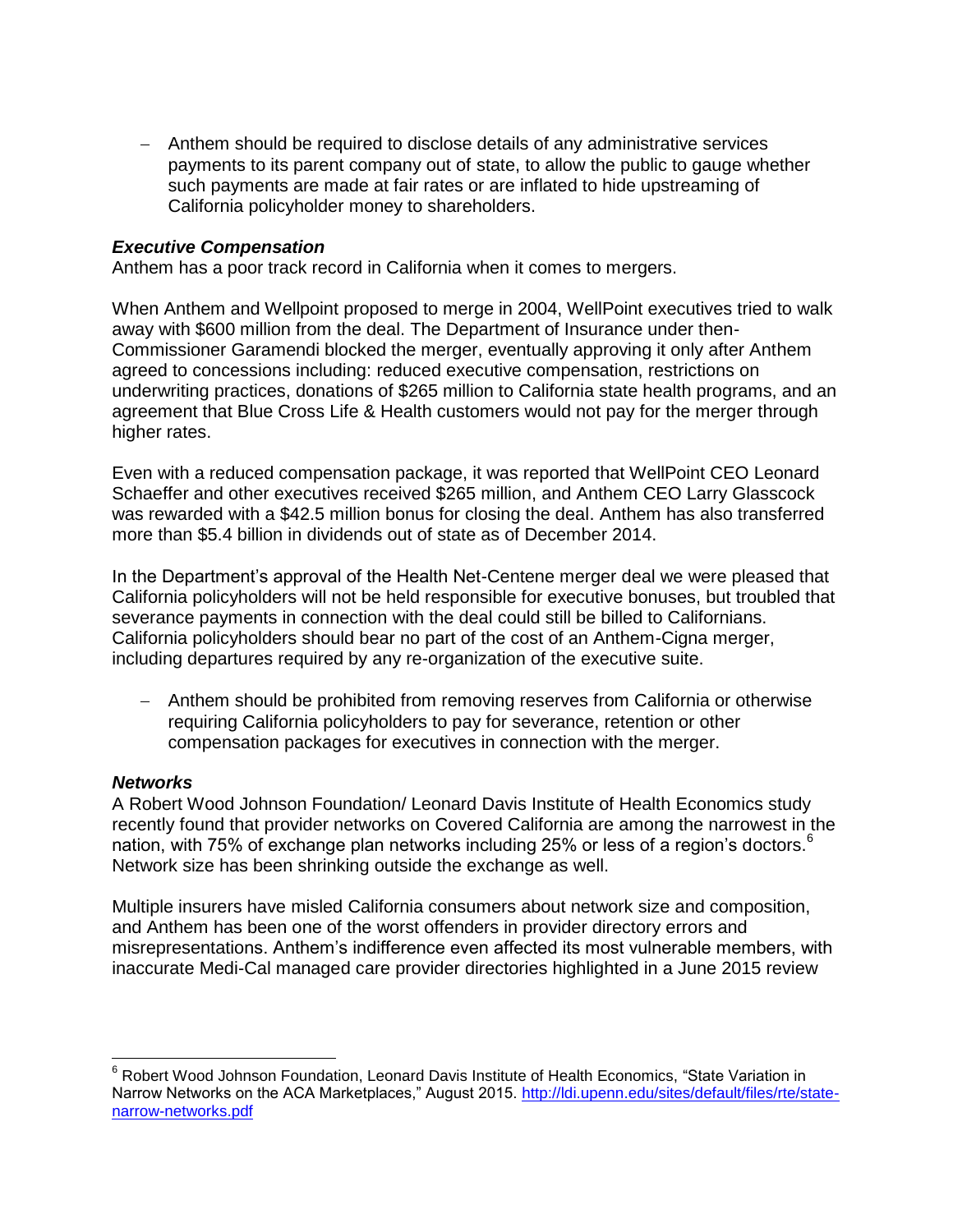- Anthem should be required to disclose details of any administrative services payments to its parent company out of state, to allow the public to gauge whether such payments are made at fair rates or are inflated to hide upstreaming of California policyholder money to shareholders.

## *Executive Compensation*

Anthem has a poor track record in California when it comes to mergers.

When Anthem and Wellpoint proposed to merge in 2004, WellPoint executives tried to walk away with \$600 million from the deal. The Department of Insurance under then-Commissioner Garamendi blocked the merger, eventually approving it only after Anthem agreed to concessions including: reduced executive compensation, restrictions on underwriting practices, donations of \$265 million to California state health programs, and an agreement that Blue Cross Life & Health customers would not pay for the merger through higher rates.

Even with a reduced compensation package, it was reported that WellPoint CEO Leonard Schaeffer and other executives received \$265 million, and Anthem CEO Larry Glasscock was rewarded with a \$42.5 million bonus for closing the deal. Anthem has also transferred more than \$5.4 billion in dividends out of state as of December 2014.

In the Department's approval of the Health Net-Centene merger deal we were pleased that California policyholders will not be held responsible for executive bonuses, but troubled that severance payments in connection with the deal could still be billed to Californians. California policyholders should bear no part of the cost of an Anthem-Cigna merger, including departures required by any re-organization of the executive suite.

 Anthem should be prohibited from removing reserves from California or otherwise requiring California policyholders to pay for severance, retention or other compensation packages for executives in connection with the merger.

#### *Networks*

 $\overline{a}$ 

A Robert Wood Johnson Foundation/ Leonard Davis Institute of Health Economics study recently found that provider networks on Covered California are among the narrowest in the nation, with 75% of exchange plan networks including 25% or less of a region's doctors.<sup>6</sup> Network size has been shrinking outside the exchange as well.

Multiple insurers have misled California consumers about network size and composition, and Anthem has been one of the worst offenders in provider directory errors and misrepresentations. Anthem's indifference even affected its most vulnerable members, with inaccurate Medi-Cal managed care provider directories highlighted in a June 2015 review

<sup>&</sup>lt;sup>6</sup> Robert Wood Johnson Foundation, Leonard Davis Institute of Health Economics, "State Variation in Narrow Networks on the ACA Marketplaces," August 2015. [http://ldi.upenn.edu/sites/default/files/rte/state](http://ldi.upenn.edu/sites/default/files/rte/state-narrow-networks.pdf)[narrow-networks.pdf](http://ldi.upenn.edu/sites/default/files/rte/state-narrow-networks.pdf)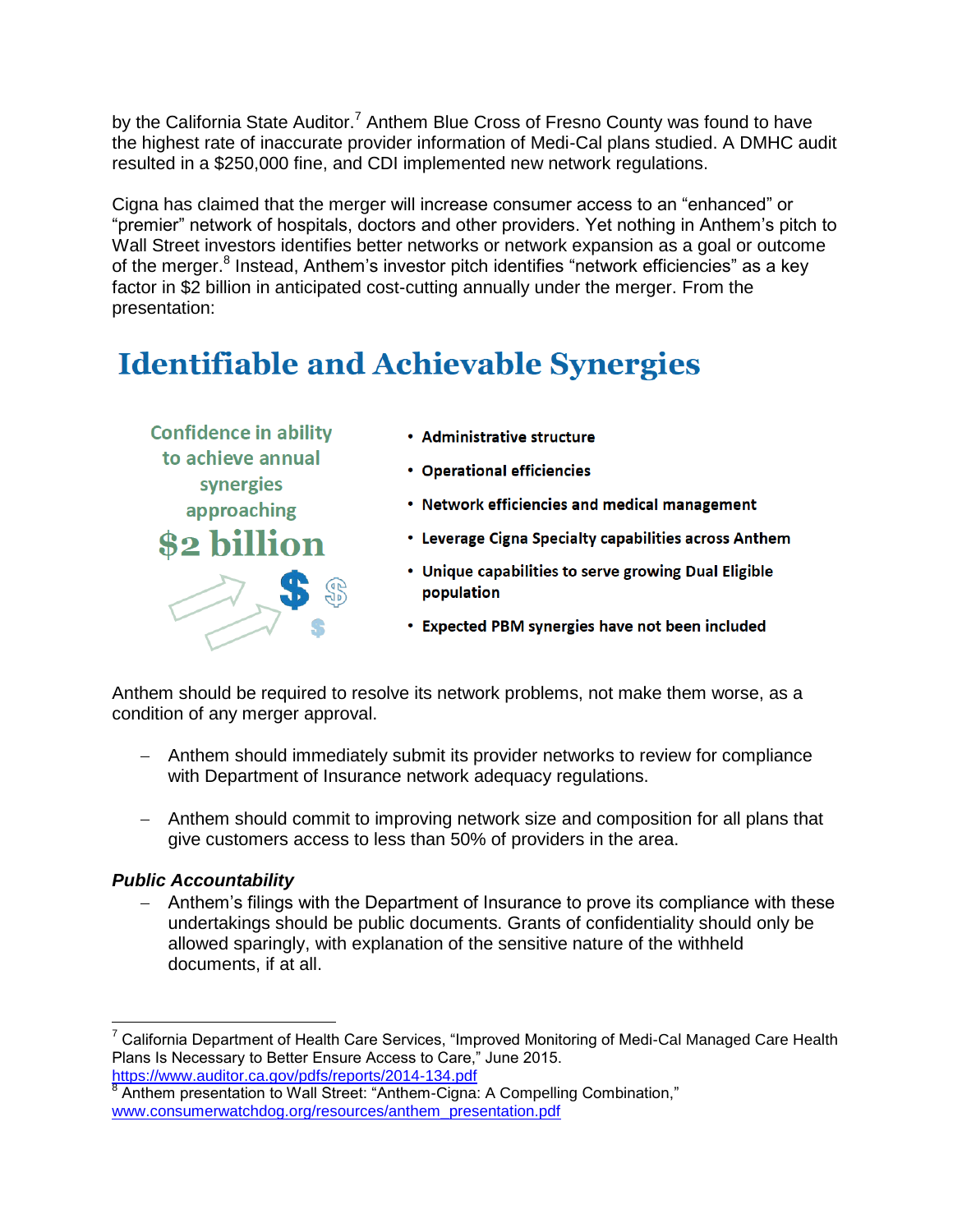by the California State Auditor.<sup>7</sup> Anthem Blue Cross of Fresno County was found to have the highest rate of inaccurate provider information of Medi-Cal plans studied. A DMHC audit resulted in a \$250,000 fine, and CDI implemented new network regulations.

Cigna has claimed that the merger will increase consumer access to an "enhanced" or "premier" network of hospitals, doctors and other providers. Yet nothing in Anthem's pitch to Wall Street investors identifies better networks or network expansion as a goal or outcome of the merger.<sup>8</sup> Instead, Anthem's investor pitch identifies "network efficiencies" as a key factor in \$2 billion in anticipated cost-cutting annually under the merger. From the presentation:

# **Identifiable and Achievable Synergies**



- Administrative structure
- **Operational efficiencies**
- Network efficiencies and medical management
- Leverage Cigna Specialty capabilities across Anthem
- Unique capabilities to serve growing Dual Eligible population
- Expected PBM synergies have not been included

Anthem should be required to resolve its network problems, not make them worse, as a condition of any merger approval.

- Anthem should immediately submit its provider networks to review for compliance with Department of Insurance network adequacy regulations.
- Anthem should commit to improving network size and composition for all plans that give customers access to less than 50% of providers in the area.

# *Public Accountability*

 $\overline{a}$ 

 Anthem's filings with the Department of Insurance to prove its compliance with these undertakings should be public documents. Grants of confidentiality should only be allowed sparingly, with explanation of the sensitive nature of the withheld documents, if at all.

 $7$  California Department of Health Care Services, "Improved Monitoring of Medi-Cal Managed Care Health Plans Is Necessary to Better Ensure Access to Care," June 2015.

<https://www.auditor.ca.gov/pdfs/reports/2014-134.pdf><br><sup>8</sup> Apthem presentation to Well Street: "Apthem Ciano Anthem presentation to Wall Street: "Anthem-Cigna: A Compelling Combination," [www.consumerwatchdog.org/resources/anthem\\_presentation.pdf](http://www.consumerwatchdog.org/resources/anthem_presentation.pdf)